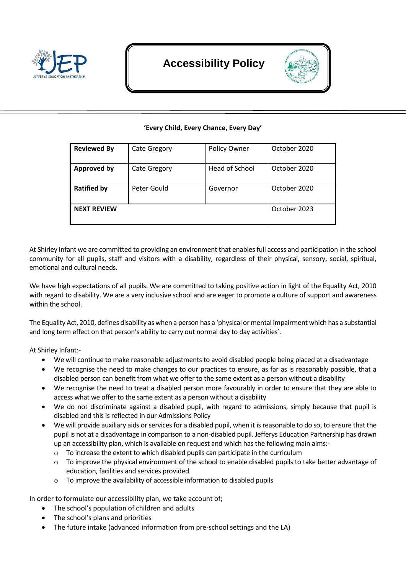

# **Accessibility Policy**



## **'Every Child, Every Chance, Every Day'**

| <b>Reviewed By</b> | <b>Cate Gregory</b> | Policy Owner   | October 2020 |
|--------------------|---------------------|----------------|--------------|
| <b>Approved by</b> | <b>Cate Gregory</b> | Head of School | October 2020 |
| <b>Ratified by</b> | Peter Gould         | Governor       | October 2020 |
| <b>NEXT REVIEW</b> |                     |                | October 2023 |

At Shirley Infant we are committed to providing an environment that enables full access and participation in the school community for all pupils, staff and visitors with a disability, regardless of their physical, sensory, social, spiritual, emotional and cultural needs.

We have high expectations of all pupils. We are committed to taking positive action in light of the Equality Act, 2010 with regard to disability. We are a very inclusive school and are eager to promote a culture of support and awareness within the school.

The Equality Act, 2010, defines disability as when a person has a 'physical or mental impairment which has a substantial and long term effect on that person's ability to carry out normal day to day activities'.

At Shirley Infant:-

- We will continue to make reasonable adjustments to avoid disabled people being placed at a disadvantage
- We recognise the need to make changes to our practices to ensure, as far as is reasonably possible, that a disabled person can benefit from what we offer to the same extent as a person without a disability
- We recognise the need to treat a disabled person more favourably in order to ensure that they are able to access what we offer to the same extent as a person without a disability
- We do not discriminate against a disabled pupil, with regard to admissions, simply because that pupil is disabled and this is reflected in our Admissions Policy
- We will provide auxiliary aids or services for a disabled pupil, when it is reasonable to do so, to ensure that the pupil is not at a disadvantage in comparison to a non-disabled pupil. Jefferys Education Partnership has drawn up an accessibility plan, which is available on request and which has the following main aims:-
	- $\circ$  To increase the extent to which disabled pupils can participate in the curriculum
	- $\circ$  To improve the physical environment of the school to enable disabled pupils to take better advantage of education, facilities and services provided
	- o To improve the availability of accessible information to disabled pupils

In order to formulate our accessibility plan, we take account of;

- The school's population of children and adults
- The school's plans and priorities
- The future intake (advanced information from pre-school settings and the LA)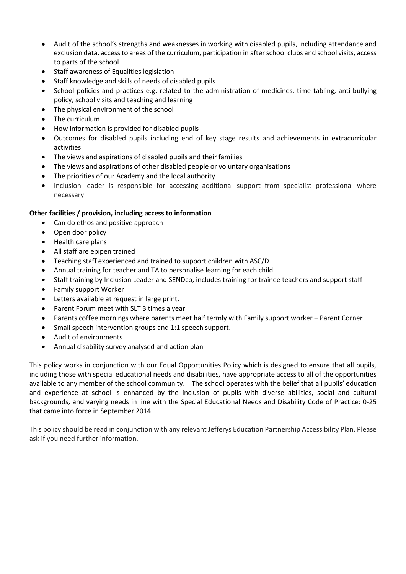- Audit of the school's strengths and weaknesses in working with disabled pupils, including attendance and exclusion data, access to areas of the curriculum, participation in after school clubs and school visits, access to parts of the school
- Staff awareness of Equalities legislation
- Staff knowledge and skills of needs of disabled pupils
- School policies and practices e.g. related to the administration of medicines, time-tabling, anti-bullying policy, school visits and teaching and learning
- The physical environment of the school
- The curriculum
- How information is provided for disabled pupils
- Outcomes for disabled pupils including end of key stage results and achievements in extracurricular activities
- The views and aspirations of disabled pupils and their families
- The views and aspirations of other disabled people or voluntary organisations
- The priorities of our Academy and the local authority
- Inclusion leader is responsible for accessing additional support from specialist professional where necessary

## **Other facilities / provision, including access to information**

- Can do ethos and positive approach
- Open door policy
- Health care plans
- All staff are epipen trained
- Teaching staff experienced and trained to support children with ASC/D.
- Annual training for teacher and TA to personalise learning for each child
- Staff training by Inclusion Leader and SENDco, includes training for trainee teachers and support staff
- Family support Worker
- Letters available at request in large print.
- Parent Forum meet with SLT 3 times a year
- Parents coffee mornings where parents meet half termly with Family support worker Parent Corner
- Small speech intervention groups and 1:1 speech support.
- Audit of environments
- Annual disability survey analysed and action plan

This policy works in conjunction with our Equal Opportunities Policy which is designed to ensure that all pupils, including those with special educational needs and disabilities, have appropriate access to all of the opportunities available to any member of the school community. The school operates with the belief that all pupils' education and experience at school is enhanced by the inclusion of pupils with diverse abilities, social and cultural backgrounds, and varying needs in line with the Special Educational Needs and Disability Code of Practice: 0‐25 that came into force in September 2014.

This policy should be read in conjunction with any relevant Jefferys Education Partnership Accessibility Plan. Please ask if you need further information.